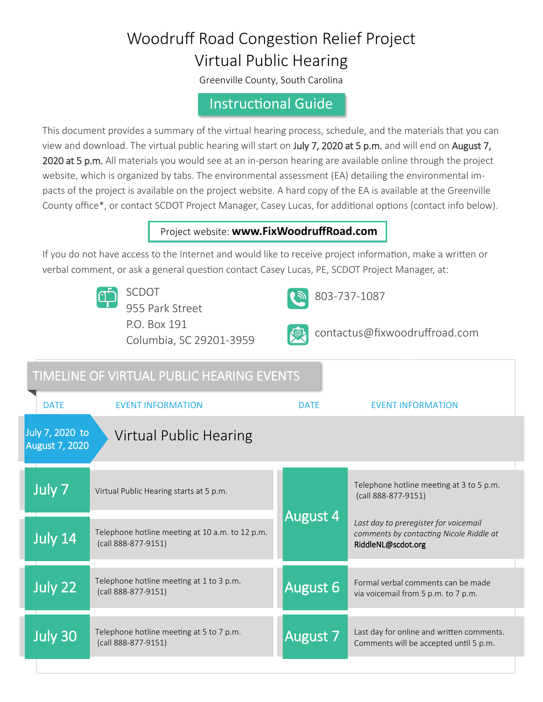# Woodruff Road Congestion Relief Project Virtual Public Hearing

Greenville County, South Carolina

## Instructional Guide

This document provides a summary of the virtual hearing process, schedule, and the materials that you can view and download. The virtual public hearing will start on July 7, 2020 at 5 p.m. and will end on August 7, 2020 at 5 p.m. All materials you would see at an in-person hearing are available online through the project website, which is organized by tabs. The environmental assessment (EA) detailing the environmental impacts of the project is available on the project website. A hard copy of the EA is available at the Greenville County office\*, or contact SCDOT Project Manager, Casey Lucas, for additional options (contact info below).

### Project website: **[www.FixWoodruffRoad.com](http://www.FixWoodruffRoad.com)**

If you do not have access to the Internet and would like to receive project information, make a written or verbal comment, or ask a general question contact Casey Lucas, PE, SCDOT Project Manager, at:

|                                                                    | <b>SCDOT</b><br>955 Park Street<br>P.O. Box 191<br>Columbia, SC 29201-3959 | 803-737-1087<br>contactus@fixwoodruffroad.com |                                                                                                        |
|--------------------------------------------------------------------|----------------------------------------------------------------------------|-----------------------------------------------|--------------------------------------------------------------------------------------------------------|
| TIMELINE OF VIRTUAL PUBLIC HEARING EVENTS                          |                                                                            |                                               |                                                                                                        |
| <b>DATE</b>                                                        | <b>EVENT INFORMATION</b>                                                   | <b>DATE</b>                                   | <b>EVENT INFORMATION</b>                                                                               |
| July 7, 2020 to<br>Virtual Public Hearing<br><b>August 7, 2020</b> |                                                                            |                                               |                                                                                                        |
| July 7                                                             | Virtual Public Hearing starts at 5 p.m.                                    | <b>August 4</b>                               | Telephone hotline meeting at 3 to 5 p.m.<br>(call 888-877-9151)                                        |
| July 14                                                            | Telephone hotline meeting at 10 a.m. to 12 p.m.<br>(call 888-877-9151)     |                                               | Last day to preregister for voicemail<br>comments by contacting Nicole Riddle at<br>RiddleNL@scdot.org |
| July 22                                                            | Telephone hotline meeting at 1 to 3 p.m.<br>(call 888-877-9151)            | <b>August 6</b>                               | Formal verbal comments can be made<br>via voicemail from 5 p.m. to 7 p.m.                              |
| July 30                                                            | Telephone hotline meeting at 5 to 7 p.m.<br>(call 888-877-9151)            | August 7                                      | Last day for online and written comments.<br>Comments will be accepted until 5 p.m.                    |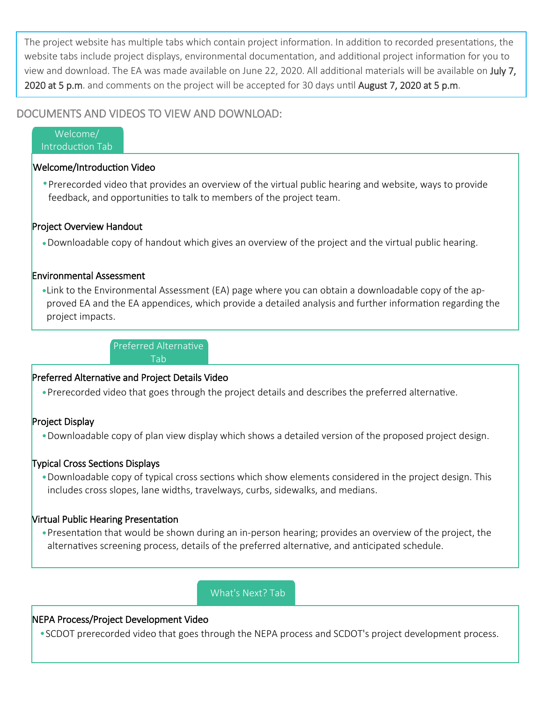The project website has multiple tabs which contain project information. In addition to recorded presentations, the website tabs include project displays, environmental documentation, and additional project information for you to view and download. The EA was made available on June 22, 2020. All additional materials will be available on July 7, 2020 at 5 p.m. and comments on the project will be accepted for 30 days until August 7, 2020 at 5 p.m.

#### DOCUMENTS AND VIDEOS TO VIEW AND DOWNLOAD:

Welcome/ Introduction Tab

#### Welcome/Introduction Video

Prerecorded video that provides an overview of the virtual public hearing and website, ways to provide feedback, and opportunities to talk to members of the project team.

#### Project Overview Handout

Downloadable copy of handout which gives an overview of the project and the virtual public hearing.

#### Environmental Assessment

•Link to the Environmental Assessment (EA) page where you can obtain a downloadable copy of the approved EA and the EA appendices, which provide a detailed analysis and further information regarding the project impacts.

> Preferred Alternative Tab

#### Preferred Alternative and Project Details Video

Prerecorded video that goes through the project details and describes the preferred alternative.

#### Project Display

Downloadable copy of plan view display which shows a detailed version of the proposed project design.

#### Typical Cross Sections Displays

Downloadable copy of typical cross sections which show elements considered in the project design. This includes cross slopes, lane widths, travelways, curbs, sidewalks, and medians.

#### Virtual Public Hearing Presentation

Presentation that would be shown during an in-person hearing; provides an overview of the project, the alternatives screening process, details of the preferred alternative, and anticipated schedule.

# What's Next? Tab

#### NEPA Process/Project Development Video

SCDOT prerecorded video that goes through the NEPA process and SCDOT's project development process.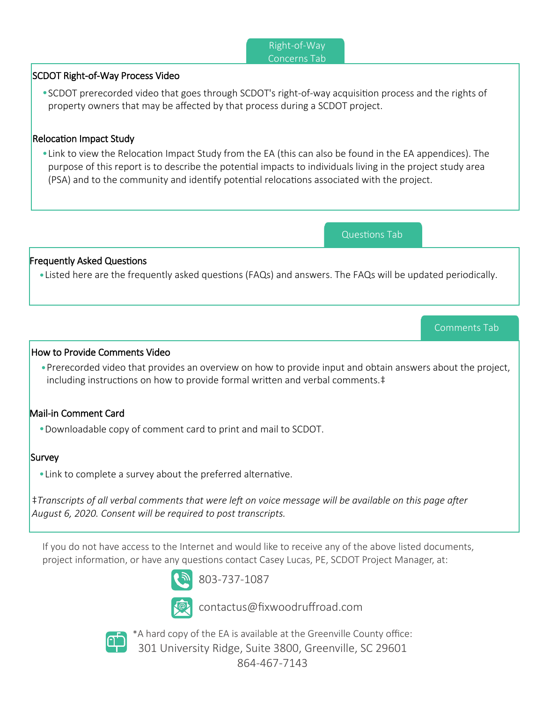#### Right-of-Way Right-of-Way Concerns Tab

#### SCDOT Right-of-Way Process Video

SCDOT prerecorded video that goes through SCDOT's right-of-way acquisition process and the rights of property owners that may be affected by that process during a SCDOT project.

#### Relocation Impact Study

Link to view the Relocation Impact Study from the EA (this can also be found in the EA appendices). The purpose of this report is to describe the potential impacts to individuals living in the project study area (PSA) and to the community and identify potential relocations associated with the project.

Questions Tab

Comments Tab

#### Frequently Asked Questions

Listed here are the frequently asked questions (FAQs) and answers. The FAQs will be updated periodically.

#### How to Provide Comments Video

Prerecorded video that provides an overview on how to provide input and obtain answers about the project, including instructions on how to provide formal written and verbal comments.‡

#### Mail-in Comment Card

Downloadable copy of comment card to print and mail to SCDOT.

#### **Survey**

Link to complete a survey about the preferred alternative.

‡*Transcripts of all verbal comments that were left on voice message will be available on this page after August 6, 2020. Consent will be required to post transcripts.*

If you do not have access to the Internet and would like to receive any of the above listed documents, project information, or have any questions contact Casey Lucas, PE, SCDOT Project Manager, at:



803-737-1087

contactus@fixwoodruffroad.com



\*A hard copy of the EA is available at the Greenville County office: 301 University Ridge, Suite 3800, Greenville, SC 29601 864-467-7143